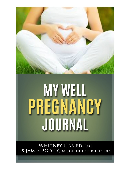

# **MY WELL** PREGNANCY JOURNAL

WHITNEY HAMED, D.C., & JAMIE BODILY, MS, CERTIFIED BIRTH DOULA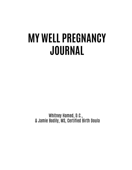## **MY WELL PREGNANCY JOURNAL**

Whitney Hamed, D.C., & Jamie Bodily, MS, Certified Birth Doula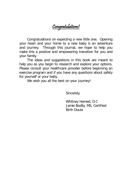## Congratulations!

Congratulations on expecting a new little one. Opening your heart and your home to a new baby is an adventure and journey. Through this journal, we hope to help you make this a positive and empowering transition for you and your family.

The ideas and suggestions in this book are meant to help you as you begin to research and explore your options. Please consult your healthcare provider before beginning an exercise program and if you have any questions about safety for yourself or your baby.

We wish you all the best on your journey!

Sincerely,

Whitney Hamed, D.C Jamie Bodily, MS, Certified Birth Doula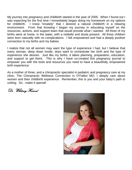My journey into pregnancy and childbirth started in the year of 2005. When I found out I was expecting for the first time I immediately began doing my homework on my options for childbirth. I knew "innately" that I desired a natural childbirth in a relaxing I knew "innately" that I desired a natural childbirth in a relaxing environment. From that *knowing* I began my journey in educating myself on the resources, actions, and support team that would provide what I wanted. All three of my births were at home, in the water, with a midwife and doula present. All three children were born naturally with no complications. I felt empowered and had a deeply positive connection to my births and my babies.

I realize that not all women may want the type of experience I had, but I believe that every woman, deep down inside, does want to orchestrate her birth and the type of experience she desires. Just like my births, it takes planning, preparation, education, and support to get there. This is why I have co-created this pregnancy journal to empower you with the tools and resources you need to have a beautifully, empowered birth experience.

As a mother of three, and a chiropractic specialist in pediatric and pregnancy care at my clinic, The Chiropractic Wellness Connection in O'Fallon MO, I deeply care about women and their childbirth experience. Remember, this is you and your baby's path to uniting. So…make it special!

Dr. Whitney Hamed

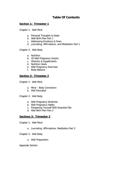#### **Table Of Contents**

#### **[Section 1: Trimester 1](#page-5-0)**

[Chapter 1: Well Mind](#page-5-0)

- a. Personal Thoughts & Goals
- b. Well Birth Plan Part 1
- c. Addressing Emotions & Fears
- d. Journaling, Affirmations, and Meditation Part 1

#### [Chapter 2: Well Body](#page-17-0)

- a. Nutrition
- b. 20 Well Pregnancy Snacks
- c. Vitamins & Supplements
- d. Nutrition Goals
- e. Well Pregnancy Exercises
- f. Body Balance

#### **[Section 2: Trimester 2](#page-29-0)**

[Chapter 1: Well Mind](#page-29-0)

- a. Mind Body Connection
- b. Well Educated

#### [Chapter 2: Well Body](#page-32-0)

- a. Well Pregnancy Stretches
- b. Well Pregnancy Habits
- c. Pampering Yourself With Essential Oils
- d. Well Birth Plan Part 2

#### **[Sections 3: Trimester 3](#page-39-0)**

[Chapter 1: Well Mind](#page-39-0)

a. Journaling, Affirmations, Meditation Part 2

#### [Chapter 2: Well Body](#page-40-0)

a. Well Preparation

#### [Appendix Section](#page-42-0)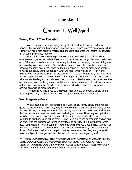## rimester 1

## Chapter 1: Well Mind

#### <span id="page-5-0"></span>**Taking Care of Your Thoughts**

As you begin your pregnancy journey, it is important to understand how powerful the mind is and how it affects how we perceive and process events around us. Filling your mind with positive impressions, thoughts and ideas will inspire you towards an amazing pregnancy journey.

If you have ever grown a garden, you know how quickly a small weed can overtake your garden, especially if you are not quick enough to get the weed pulled and out of the way. Weeds are more than unsightly; they can destroy your beautiful garden and possibly your food source. Our minds are just as susceptible as the garden to negative thoughts and ideas; what we feed our minds will help or hinder our progress towards our goals. Our brain takes in what we read, what we see on TV or in the movies, even what we overhear others saying. In a society, that is very fear and anger based—especially when it comes to birth—it is important to attend to our minds and what we are feeding it on a daily, even hourly, basis. Like the weed that takes over the garden, one negative thought can overtake our minds and cause us to act from a place of fear and negativity thereby destroying our opportunity to transform, grow and achieve an amazing birth experience.

This journal will help you to train your mind to focus on positive goals, to find positive pregnancy resources and to build a supportive network of your own.

#### **Well Pregnancy Goals**

We all have goals in life; fitness goals, work goals, family goals, and financial goals are just to name a few. So, why is it not common thought that we should strive for goals during our pregnancy too? We not only have our own health and wellbeing to think about but we have the health and wellbeing of the new little life growing inside of us to be conscious of. Goals in any aspect of our lives give us direction, focus, and meaning to our habits and action steps. Goals keep our minds or thoughts and actions on track with the purpose we intend in any facet of our life. It is time that you write down your goals for your pregnancy! Your goals will give you a road map. A road map that you created and intend to follow. Your goals will remind you, during the harder times, of what you desire to accomplish. Always remember that they are your goals, may be subject to change, and that the fun is in the journey to your goals!

\*\*\*Review your goals daily, make modifications when necessary, ensure that your daily habits and action steps are in alignment with your goals, review and re-write if necessary one week before the new trimester/post-partum begins. Most importantly CELEBRATE & REWARD YOURSELF when you reach your goals!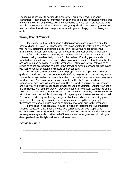The journal is broken into sections to discuss your mind, your body, and your relationship. After providing information on each area and ideas for developing this area of your life, you will be provided with the opportunity to write your individualized goals for this pregnancy and delivery. Please share your goals with members of your support team and allow them to encourage you, work with you and help you to achieve your goals.

#### **Taking Care of Yourself**

Pregnancy is a time of transition and transformation and it can be a time for positive changes in your life, changes you may have wanted to make but haven't done yet! As you determine your personal goals, think about your relationships, your environments at work and at home, your friendships, and your emotional well-being.

Often during the first trimester, women feel tired and have symptoms of morning sickness making them less likely to care for themselves. Ensuring you are wellhydrated, getting adequate rest, and finding ways to relax are important to your health and well-being as well as for a healthy pregnancy. Taking care of yourself can be as simple as taking an extra five minutes in the shower or buying a shower gel that makes you feel wonderful or getting a manicure and/or pedicure.

In addition, surrounding yourself with people who can support you and your goals will contribute to a more positive and satisfying pregnancy. In our culture, women love to share negative birth stories or talk about how awful the experience of pregnancy was for them. Your pregnancy does not have to be like this! Find friends and supportive persons who will encourage you, lift you up when you are facing challenges, and help you find creative solutions that work for you and your life. Sharing your goals and challenges with your partner will provide an opportunity to work together, to share ideas, and to strengthen your relationship. During the first trimester, partners often feel left out as there is no visible physical sign of pregnancy and it seems somewhat surreal. For women, while they are feeling changes within their body and experiencing physical symptoms of pregnancy, it is a time when women often keep the pregnancy to themselves for fear of a miscarriage or mistreatment at work due to the pregnancy.

Some goals in this area may include: Finding an independent, out of hospital childbirth education class, finding friends who can provide positive support and encouragement, creating a calming and peaceful environment at work and at home, or learning to manage anxiety better. All of these are wonderful goals and will help you develop a healthier lifestyle and more positive outlook.

#### Personal Goals: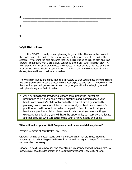#### **Well Birth Plan**

It is NEVER too early to start planning for your birth. The teams that make it to the world series plan and practice every day for the best outcome at the end of the season. If you want the best outcome that you desire it is up to YOU to plan and take charge. That begins with a pro-active, conscious birth plan. What is a birth plan? A birth plan is a list of all of preferences and choices for your delivery that you share with your doctor, nurses, doula, and/or midwife. The birth plan is the map your birth and delivery team will use to follow your wishes.

The Well Birth Plan is broken up into all 3 trimesters so that you are not trying to create the birth plan of your dreams a week before your expected due date. The following are the questions you will get answers to and the goals you will write to begin your well birth plan during your first trimester.

 Ask Your Healthcare Provider questions throughout the journal are promptings to help you begin asking questions and learning about your health care provider's philosophy on birth. This will simplify your birth planning process as you will better understand your healthcare provider's practices and will better know what to expect. If you find out that your healthcare provider's philosophies do not match what you are wanting or expecting for this birth, you will have the opportunity to interview and locate another provider who can better meet your birthing needs and goals.

#### **Who will make up your Well Pregnancy healthcare and delivery team?**

Possible Members of Your Health Care Team:

OB/GYN: A medical doctor specialized in the treatment of female issues including pregnancy. An OB/GYN typically delivers in a hospital setting and can perform cesarean sections when necessary.

Midwife: A health care provider who specializes in pregnancy and well-woman care. A midwife may have the designation of a Certified Professional Midwife (CPM) or a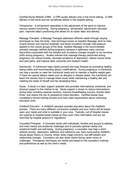Certified Nurse Midwife (CNM). A CPM usually delivers only in the home setting. A CNM delivers in the home and can sometimes deliver in the hospital setting.

Chiropractor: A chiropractor specializes in the adjustment of the spine to improve nervous system functioning. During pregnancy, spinal/pelvic adjustments decrease pain, improves baby's positioning and allows for an easier labor and delivery.

Massage Therapist: A Massage Therapist addresses different needs through varying techniques to relax the body. One technique known as Swedish Massage, aims to relax muscle tension and improve lymphatic and blood circulation through mild pressure applied to the muscle groups of the body. Swedish Massage is the recommended prenatal massage method during pregnancy because it addresses many common discomforts associated with the skeletal and circulatory changes brought on by hormone shifts during pregnancy. Studies indicate that massage therapy performed during pregnancy can reduce anxiety, decrease symptoms of depression, relieve muscle aches and joint pains, and improve labor outcomes and newborn health.

Nutritionist: A nutritionist helps clients prevent and treat illnesses by promoting healthy eating habits and recommending dietary modifications. During pregnancy, a nutritionist can help a woman to meet her nutritional needs and to maintain a healthy weight gain. If there are special dietary needs such as allergies or disease states, the nutritionist can teach the woman how to manage these issues while maintaining a healthy diet and meeting the needs of herself and her developing fetus.

Doula: A doula is a labor support assistant who provides informational, emotional, and physical support to the mother-to-be. Doula support is shown to reduce interventions during labor including cesarean sections, improve breastfeeding success, shorten labor times, and reduce the risk of postpartum mood disorders. Certified doulas have completed a formal training process and must meet requirements about continuing education units.

Childbirth Educator: A childbirth educator provides education about the childbirth process. There are many different curriculums available and your choice will be based upon your needs and what is available in your area. Typically, out of hospital classes are superior to hospital based classes as they cover more information and are not restricted by hospital protocol or regulations.

Counselor/Therapist: A Counselor works with individuals, families and groups to address and treat mental and emotional challenges and to promote optimal mental and emotional health and well-being. During pregnancy, a counselor may help a client address anxiety, depression, addiction and substance use, fears surrounding childbirth, sexual abuse history or trauma, stress, body image concerns, low self-esteem and relationship changes. Counselors can also assist clients facing career stress or challenges. Therapeutic techniques are varied and based on the counselor's training and preferences as well as the client's needs.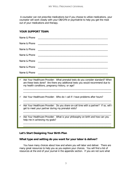A counselor can not prescribe medications but if you choose to utilize medications, your counselor will work closely with your OB/GYN or psychiatrist to help you get the most out of your medications and therapy.

#### **YOUR SUPPORT TEAM:**

|              | Name & Phone |                                                                                                                                                                                                                         |
|--------------|--------------|-------------------------------------------------------------------------------------------------------------------------------------------------------------------------------------------------------------------------|
|              | Name & Phone |                                                                                                                                                                                                                         |
|              | Name & Phone |                                                                                                                                                                                                                         |
|              | Name & Phone |                                                                                                                                                                                                                         |
|              | Name & Phone |                                                                                                                                                                                                                         |
|              | Name & Phone |                                                                                                                                                                                                                         |
|              | Name & Phone |                                                                                                                                                                                                                         |
|              |              | Ask Your Healthcare Provider: What prenatal tests do you consider standard? When<br>are these tests done? Are there any additional tests you would recommend due to<br>my health conditions, pregnancy history, or age? |
|              |              | Ask Your Healthcare Provider: Who do I call if I have problems after hours?                                                                                                                                             |
| $\checkmark$ |              | Ask Your Healthcare Provider: Do you share on-call time with a partner? If so, will I<br>get to meet your partner during my prenatal visits?                                                                            |
|              |              | Ask Your Healthcare Provider: What is your philosophy on birth and how can you<br>help me in achieving my goals?                                                                                                        |
|              |              |                                                                                                                                                                                                                         |

#### **Let's Start Designing Your Birth Plan**

#### **What type and setting do you want for your labor & deliver?**

 You have many choices about how and where you will labor and deliver. There are many great resources to help you as you explore your choices. You will find a list of resources at the end of your journal in the appendix section. If you are not sure what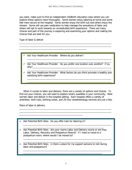you want, make sure to find an independent childbirth education class where you can explore these options more thoroughly. Some women enjoy laboring at home and some feel more secure at the hospital. Some women enjoy the birth tub and others enjoy the shower. Some will use pain medication to help manage the sensations of labor and others will opt to work towards an unmedicated birth experience. There are many choices and part of the journey is exploring and examining your options and making the choices that are best for you.

\_\_\_\_\_\_\_\_\_\_\_\_\_\_\_\_\_\_\_\_\_\_\_\_\_\_\_\_\_\_\_\_\_\_\_\_\_\_\_\_\_\_\_\_\_\_\_\_\_\_\_\_\_\_\_\_\_\_\_\_\_\_\_\_\_\_\_\_\_\_\_ \_\_\_\_\_\_\_\_\_\_\_\_\_\_\_\_\_\_\_\_\_\_\_\_\_\_\_\_\_\_\_\_\_\_\_\_\_\_\_\_\_\_\_\_\_\_\_\_\_\_\_\_\_\_\_\_\_\_\_\_\_\_\_\_\_\_\_\_\_\_\_

Type of labor & deliver

 $\checkmark$  Ask Your Healthcare Provider: Where do you deliver?

\_\_\_\_\_\_\_\_\_\_\_\_\_\_\_\_\_\_\_\_\_\_\_\_\_\_\_\_\_\_\_\_\_\_\_\_\_\_\_\_\_\_\_\_\_\_\_\_\_\_\_\_

\_\_\_\_\_\_\_\_\_\_\_\_\_\_\_\_\_\_\_\_\_\_\_\_\_\_\_\_\_\_\_\_\_\_\_\_\_\_\_\_\_\_\_\_\_\_\_\_\_\_\_\_\_\_\_\_\_\_\_\_\_\_\_\_\_  $\overline{\phantom{a}}$  Ask Your Healthcare Provider: Do you prefer one location over another? If so, why?\_\_\_\_\_\_\_\_\_\_\_\_\_\_\_\_\_\_\_\_\_\_\_\_\_\_\_\_\_\_\_\_\_\_\_\_\_\_\_\_\_\_\_\_\_\_\_\_\_\_\_\_\_\_\_\_\_\_\_\_\_

\_\_\_\_\_\_\_\_\_\_\_\_\_\_\_\_\_\_\_\_\_\_\_\_\_\_\_\_\_\_\_\_\_\_\_\_\_\_\_\_\_\_\_\_\_\_\_\_\_\_\_\_\_\_\_\_\_\_\_\_\_\_\_\_\_

 Ask Your Healthcare Provider: What factors do you think promote a healthy and satisfying birth experience?

\_\_\_\_\_\_\_\_\_\_\_\_\_\_\_\_\_\_\_\_\_\_\_\_\_\_\_\_\_\_\_\_\_\_\_\_\_\_\_\_\_\_\_\_\_\_\_\_\_\_\_\_\_\_\_\_\_\_\_\_\_\_\_\_\_ \_\_\_\_\_\_\_\_\_\_\_\_\_\_\_\_\_\_\_\_\_\_\_\_\_\_\_\_\_\_\_\_\_\_\_\_\_\_\_\_\_\_\_\_\_\_\_\_\_\_\_\_\_\_\_\_\_\_\_\_\_\_\_\_\_

 When it comes to labor and delivery, there are a variety of options and choices. To find out your choices, you will need to explore what's available in your community. Most women labor and deliver in the hospital setting. Each hospital offers a variety of amenities; birth tubs, birthing suites, and 24 hour anesthesiology services are just a few.

\_\_\_\_\_\_\_\_\_\_\_\_\_\_\_\_\_\_\_\_\_\_\_\_\_\_\_\_\_\_\_\_\_\_\_\_\_\_\_\_\_\_\_\_\_\_\_\_\_\_\_\_\_\_\_\_\_\_\_\_\_\_\_\_\_\_\_\_\_\_\_ \_\_\_\_\_\_\_\_\_\_\_\_\_\_\_\_\_\_\_\_\_\_\_\_\_\_\_\_\_\_\_\_\_\_\_\_\_\_\_\_\_\_\_\_\_\_\_\_\_\_\_\_\_\_\_\_\_\_\_\_\_\_\_\_\_\_\_\_\_\_\_

\_\_\_\_\_\_\_\_\_\_\_\_\_\_\_\_\_\_\_\_\_\_\_\_\_\_\_\_\_\_\_\_\_\_\_\_\_\_\_\_\_\_\_\_\_\_\_\_\_\_\_\_\_\_\_\_\_\_\_\_\_\_\_\_\_\_\_\_

\_\_\_\_\_\_\_\_\_\_\_\_\_\_\_\_\_\_\_\_\_\_\_\_\_\_\_\_\_\_\_\_\_\_\_\_\_\_\_\_\_\_\_\_\_\_\_\_\_\_\_\_\_\_\_\_\_\_\_\_\_\_\_\_\_\_\_\_

\_\_\_\_\_\_\_\_\_\_\_\_\_\_\_\_\_\_\_\_\_\_\_\_\_\_\_\_\_\_\_\_\_\_\_\_\_\_\_\_\_\_\_\_\_\_\_\_\_\_\_\_\_\_\_\_\_\_\_\_\_\_\_\_\_\_\_\_

Place of labor & delivery

Ask Potential Birth Sites: Do you offer tubs for laboring in?

\_\_\_\_\_\_\_\_\_\_\_\_\_\_\_\_\_\_\_\_\_\_\_\_\_\_\_\_\_\_\_\_\_\_\_\_\_\_\_\_\_\_\_\_\_\_\_\_\_

Ask Potential Birth Sites: Are your rooms Labor and Delivery rooms or are they Labor, Delivery, Recovery and Postpartum Rooms? If I have to move to a postpartum room, where would I be moved to?

\_\_\_\_\_\_\_\_\_\_\_\_\_\_\_\_\_\_\_\_\_\_\_\_\_\_\_\_\_\_\_\_\_\_\_\_\_\_\_\_\_\_\_\_\_\_\_\_\_\_\_\_\_\_\_\_\_\_\_\_\_\_

Ask Potential Birth Sites: Is there a place for my support persons to rest during labor and postpartum?

\_\_\_\_\_\_\_\_\_\_\_\_\_\_\_\_\_\_\_\_\_\_\_\_\_\_\_\_\_\_\_\_\_\_\_\_\_\_\_\_\_\_\_\_\_\_\_\_\_\_\_\_\_\_\_\_\_\_\_\_\_

\_\_\_\_\_\_\_\_\_\_\_\_\_\_\_\_\_\_\_\_\_\_\_\_\_\_\_\_\_\_\_\_\_\_\_\_\_\_\_\_\_\_\_\_\_\_\_\_\_\_\_\_\_\_\_\_\_\_\_\_\_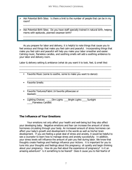Ask Potential Birth Sites: Is there a limit to the number of people that can be in my room?

\_\_\_\_\_\_\_\_\_\_\_\_\_\_\_\_\_\_\_\_\_\_\_\_\_\_\_\_\_\_\_\_\_\_\_\_\_\_\_\_\_\_\_\_\_\_\_\_\_\_\_\_\_\_\_\_\_\_\_\_\_\_\_\_\_\_\_\_

 Ask Potential Birth Sites: Do you have staff specially trained in natural birth, helping moms with epidurals, planned cesarean birth?

\_\_\_\_\_\_\_\_\_\_\_\_\_\_\_\_\_\_\_\_\_\_\_\_\_\_\_\_\_\_\_\_\_\_\_\_\_\_\_\_\_\_\_\_\_\_\_\_\_\_\_\_\_\_\_\_\_\_\_\_\_

\_\_\_\_\_\_\_\_\_\_\_\_\_\_\_\_\_\_\_\_\_\_\_\_\_\_\_\_\_\_\_\_\_\_\_\_\_\_\_\_\_\_\_\_\_\_\_\_\_\_\_\_\_\_\_\_\_\_\_\_\_\_\_\_\_\_\_\_

As you prepare for labor and delivery, it is helpful to note things that cause you to feel anxious and things that make you feel calm and peaceful. Incorporating things that make you feel calm and peaceful will help you make your labor smoother and easier. Calming music, flameless candles, and soothing smells will add a soothing ambience to your labor and delivery room.

Labor & delivery setting & ambiance (what do you want it to look, feel, & smell like)

\_\_\_\_\_\_\_\_\_\_\_\_\_\_\_\_\_\_\_\_\_\_\_\_\_\_\_\_\_\_\_\_\_\_\_\_\_\_\_\_\_\_\_\_\_\_\_\_\_\_\_\_\_\_\_\_\_\_\_\_\_\_\_\_\_\_\_\_\_\_\_ \_\_\_\_\_\_\_\_\_\_\_\_\_\_\_\_\_\_\_\_\_\_\_\_\_\_\_\_\_\_\_\_\_\_\_\_\_\_\_\_\_\_\_\_\_\_\_\_\_\_\_\_\_\_\_\_\_\_\_\_\_\_\_\_\_\_\_\_\_\_\_

\_\_\_\_\_\_\_\_\_\_\_\_\_\_\_\_\_\_\_\_\_\_\_\_\_\_\_\_\_\_\_\_\_\_\_\_\_\_\_\_\_\_\_\_\_\_\_\_\_\_\_\_\_\_\_\_\_\_\_\_\_\_\_\_\_ \_\_\_\_\_\_\_\_\_\_\_\_\_\_\_\_\_\_\_\_\_\_\_\_\_\_\_\_\_\_\_\_\_\_\_\_\_\_\_\_\_\_\_\_\_\_\_\_\_\_\_\_\_\_\_\_\_\_\_\_\_\_\_\_\_

\_\_\_\_\_\_\_\_\_\_\_\_\_\_\_\_\_\_\_\_\_\_\_\_\_\_\_\_\_\_\_\_\_\_\_\_\_\_\_\_\_\_\_\_\_\_\_\_\_\_\_\_\_\_\_\_\_\_\_\_\_\_\_\_\_

- **Favorite Music (some to soothe, some to make you want to dance):**
- **Favorite Smells:**
- \_\_\_\_\_\_\_\_\_\_\_\_\_\_\_\_\_\_\_\_\_\_\_\_\_\_\_\_\_\_\_\_\_\_\_\_\_\_\_\_\_\_\_\_\_\_\_\_\_\_\_\_\_\_\_\_\_\_\_\_\_\_\_\_ Favorite Textures/Fabric (A favorite pillowcase or blanket):\_\_\_\_\_\_\_\_\_\_\_\_\_\_\_\_\_\_\_\_\_\_\_\_\_\_\_\_\_\_\_\_\_\_\_\_\_\_\_\_\_\_\_\_\_\_\_\_\_\_\_\_\_\_\_\_\_\_

\_\_\_\_\_\_\_\_\_\_\_\_\_\_\_\_\_\_\_\_\_\_\_\_\_\_\_\_\_\_\_\_\_\_\_\_\_\_\_\_\_\_\_\_\_\_\_

\_\_\_\_\_\_\_\_\_\_\_\_\_\_\_\_\_\_\_\_\_\_\_\_\_\_\_\_\_\_\_\_\_\_\_\_\_\_\_\_\_\_\_\_\_\_\_\_\_\_\_\_\_\_\_\_\_\_\_\_\_\_\_\_\_ **EXALLET FEE Lighting Choices:** \_\_\_\_Dim Lights \_\_\_Bright Lights \_\_\_\_Sunlight \_\_\_\_Flameless Candles

#### **The Influence of Your Emotions**

Your emotions not only affect your health and well-being but they also affect your developing baby. Negative emotions and fear can increase the amount of stress hormones circulating through your body. An increased amount of stress hormones can affect your baby's growth and development in the womb as well as his/her brain development. If you are feeling a great deal of stress and anxiety, it would be helpful to see a counselor to learn how to manage stress and anxiety successfully. In addition, your stress levels will influence the amount of pain you feel during labor. We know that thoughts create Feelings and Feelings influence your Actions. It is important for you to tune into your thoughts and feelings about this pregnancy; sit quietly and begin thinking about your pregnancy. How do you feel about the experience of pregnancy? Is it an amazing adventure? Is it something to be feared? Does it cause you to feel fearful of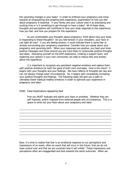the upcoming changes in your body? In order to embrace your pregnancy and move towards an empowering and amazing birth experience, examination of how you feel about pregnancy is essential. If your family and your culture view it as anamazing and exciting time or is it something to get through to have a baby? All of these ideas, thoughts and perceptions will contribute to how your body responds to this experience, how you feel, and how you prepare for this experience.

As you contemplate your thoughts about pregnancy, think about how your body is responding to these thoughts? Do you feel tension in your shoulders, your neck or just tight all over? If you are feeling tension, it could indicate there is some fear or anxiety surrounding your pregnancy experience. Consider how you speak about your pregnancy and upcoming birth. When your responses are positive, you feed your brain positive messages and those around you are more likely to reciprocate positive thoughts and ideas. Educating yourself on the birth experience, creating a support team, and exploring your options in your own community can help to reduce fear and anxiety about the experience.

It is important to recognize any persistent negative emotions and replace them with positive emotions for both the good of both mom and baby. How is this done? It begins with your thoughts and your feelings. We have millions of thoughts per day and can not always change outer circumstances. So, it begins with consistently increasing your positive thoughts and feelings. The following steps will give you a path to ultimately foster habitual healthy emotions in order to optimize your experience in pregnancy and labor.

#### FEAR: False Expectations Appearing Real

First you MUST evaluate and admit your fears or anxieties. Whether they are self imposed, and/or imposed from external people and circumstances. This is a space to write out your fears about your pregnancy and labor.

\_\_\_\_\_\_\_\_\_\_\_\_\_\_\_\_\_\_\_\_\_\_\_\_\_\_\_\_\_\_\_\_\_\_\_\_\_\_\_\_\_\_\_\_\_\_\_\_\_\_\_\_\_\_\_\_\_\_\_\_\_\_\_\_\_ \_\_\_\_\_\_\_\_\_\_\_\_\_\_\_\_\_\_\_\_\_\_\_\_\_\_\_\_\_\_\_\_\_\_\_\_\_\_\_\_\_\_\_\_\_\_\_\_\_\_\_\_\_\_\_\_\_\_\_\_\_\_\_\_\_ \_\_\_\_\_\_\_\_\_\_\_\_\_\_\_\_\_\_\_\_\_\_\_\_\_\_\_\_\_\_\_\_\_\_\_\_\_\_\_\_\_\_\_\_\_\_\_\_\_\_\_\_\_\_\_\_\_\_\_\_\_\_\_\_\_ \_\_\_\_\_\_\_\_\_\_\_\_\_\_\_\_\_\_\_\_\_\_\_\_\_\_\_\_\_\_\_\_\_\_\_\_\_\_\_\_\_\_\_\_\_\_\_\_\_\_\_\_\_\_\_\_\_\_\_\_\_\_\_\_\_ \_\_\_\_\_\_\_\_\_\_\_\_\_\_\_\_\_\_\_\_\_\_\_\_\_\_\_\_\_\_\_\_\_\_\_\_\_\_\_\_\_\_\_\_\_\_\_\_\_\_\_\_\_\_\_\_\_\_\_\_\_\_\_\_\_ \_\_\_\_\_\_\_\_\_\_\_\_\_\_\_\_\_\_\_\_\_\_\_\_\_\_\_\_\_\_\_\_\_\_\_\_\_\_\_\_\_\_\_\_\_\_\_\_\_\_\_\_\_\_\_\_\_\_\_\_\_\_\_\_\_ \_\_\_\_\_\_\_\_\_\_\_\_\_\_\_\_\_\_\_\_\_\_\_\_\_\_\_\_\_\_\_\_\_\_\_\_\_\_\_\_\_\_\_\_\_\_\_\_\_\_\_\_\_\_\_\_\_\_\_\_\_\_\_\_\_ \_\_\_\_\_\_\_\_\_\_\_\_\_\_\_\_\_\_\_\_\_\_\_\_\_\_\_\_\_\_\_\_\_\_\_\_\_\_\_\_\_\_\_\_\_\_\_\_\_\_\_\_\_\_\_\_\_\_\_\_\_\_\_\_\_ \_\_\_\_\_\_\_\_\_\_\_\_\_\_\_\_\_\_\_\_\_\_\_\_\_\_\_\_\_\_\_\_\_\_\_\_\_\_\_\_\_\_\_\_\_\_\_\_\_\_\_\_\_\_\_\_\_\_\_\_\_\_\_\_\_

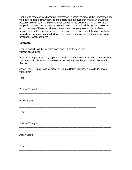continue to feed our mind negative information, it begins to process this information and we begin to attract circumstances and people into our lives that make our unwanted outcomes more likely. While we can not control all the external circumstances and people in our lives, we can control how we react to our internal thought processes and our processing of the external events around us. Learning to examine our fears, replace them with more realistic statements and affirmations, and taking action steps towards reducing our fears will allow us the opportunity to embrace the experience of pregnancy, labor, and birth.

#### **Example:**

Fear: Childbirth will be so painful and awful, I could never do it without an epidural.

Positive Thought: I am fully capable of having a natural childbirth. The sensations that I will feel during labor will allow me to work with my own body to deliver my baby into the world.

Action Steps: Out of hospital birth classes, meditation practice, hire a doula, have a water birth.

\_\_\_\_\_\_\_\_\_\_\_\_\_\_\_\_\_\_\_\_\_\_\_\_\_\_\_\_\_\_\_\_\_\_\_\_\_\_\_\_\_\_\_\_\_\_\_\_\_\_\_\_\_\_\_\_\_\_\_\_\_\_\_\_\_\_\_\_\_\_\_

\_\_\_\_\_\_\_\_\_\_\_\_\_\_\_\_\_\_\_\_\_\_\_\_\_\_\_\_\_\_\_\_\_\_\_\_\_\_\_\_\_\_\_\_\_\_\_\_\_\_\_\_\_\_\_\_\_\_\_\_\_\_\_\_\_\_\_\_\_\_\_

\_\_\_\_\_\_\_\_\_\_\_\_\_\_\_\_\_\_\_\_\_\_\_\_\_\_\_\_\_\_\_\_\_\_\_\_\_\_\_\_\_\_\_\_\_\_\_\_\_\_\_\_\_\_\_\_\_\_\_\_\_\_\_\_\_\_\_\_\_\_\_

\_\_\_\_\_\_\_\_\_\_\_\_\_\_\_\_\_\_\_\_\_\_\_\_\_\_\_\_\_\_\_\_\_\_\_\_\_\_\_\_\_\_\_\_\_\_\_\_\_\_\_\_\_\_\_\_\_\_\_\_\_\_\_\_\_\_\_\_\_\_\_

\_\_\_\_\_\_\_\_\_\_\_\_\_\_\_\_\_\_\_\_\_\_\_\_\_\_\_\_\_\_\_\_\_\_\_\_\_\_\_\_\_\_\_\_\_\_\_\_\_\_\_\_\_\_\_\_\_\_\_\_\_\_\_\_\_\_\_\_\_\_\_

\_\_\_\_\_\_\_\_\_\_\_\_\_\_\_\_\_\_\_\_\_\_\_\_\_\_\_\_\_\_\_\_\_\_\_\_\_\_\_\_\_\_\_\_\_\_\_\_\_\_\_\_\_\_\_\_\_\_\_\_\_\_\_\_\_\_\_\_\_\_\_

\_\_\_\_\_\_\_\_\_\_\_\_\_\_\_\_\_\_\_\_\_\_\_\_\_\_\_\_\_\_\_\_\_\_\_\_\_\_\_\_\_\_\_\_\_\_\_\_\_\_\_\_\_\_\_\_\_\_\_\_\_\_\_\_\_\_\_\_\_\_\_

\_\_\_\_\_\_\_\_\_\_\_\_\_\_\_\_\_\_\_\_\_\_\_\_\_\_\_\_\_\_\_\_\_\_\_\_\_\_\_\_\_\_\_\_\_\_\_\_\_\_\_\_\_\_\_\_\_\_\_

\_\_\_\_\_\_\_\_\_\_\_\_\_\_\_\_\_\_\_\_\_\_\_\_\_\_\_\_\_\_\_\_\_\_\_\_\_\_\_\_\_\_\_\_\_\_\_\_\_\_\_\_\_\_\_\_\_\_\_

\_\_\_\_\_\_\_\_\_\_\_\_\_\_\_\_\_\_\_\_\_\_\_\_\_\_\_\_\_\_\_\_\_\_\_\_\_\_\_\_\_\_\_\_\_\_\_\_\_\_\_\_\_\_\_\_\_\_\_

\_\_\_\_\_\_\_\_\_\_\_\_\_\_\_\_\_\_\_\_\_\_\_\_\_\_\_\_\_\_\_\_\_\_\_\_\_\_\_\_\_\_\_\_\_\_\_\_\_\_\_\_\_\_\_\_\_\_\_

\_\_\_\_\_\_\_\_\_\_\_\_\_\_\_\_\_\_\_\_\_\_\_\_\_\_\_\_\_\_\_\_\_\_\_\_\_\_\_\_\_\_\_\_\_\_\_\_\_\_\_\_\_\_\_\_\_\_\_

\_\_\_\_\_\_\_\_\_\_\_\_\_\_\_\_\_\_\_\_\_\_\_\_\_\_\_\_\_\_\_\_\_\_\_\_\_\_\_\_\_\_\_\_\_\_\_\_\_\_\_\_\_\_\_\_\_\_\_

\_\_\_\_\_\_\_\_\_\_\_\_\_\_\_\_\_\_\_\_\_\_\_\_\_\_\_\_\_\_\_\_\_\_\_\_\_\_\_\_\_\_\_\_\_\_\_\_\_\_\_\_\_\_\_\_\_\_\_

Fear

Positive Thought

Action Step(s)

Fear

Positive Thought

Action Step(s)

Fear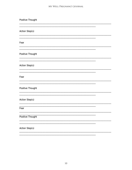#### MY WELL PREGNANCY JOURNAL

| Positive Thought |  |  |
|------------------|--|--|
|                  |  |  |
| Action Step(s)   |  |  |
|                  |  |  |
| Fear             |  |  |
|                  |  |  |
| Positive Thought |  |  |
|                  |  |  |
| Action Step(s)   |  |  |
|                  |  |  |
| Fear             |  |  |
|                  |  |  |
| Positive Thought |  |  |
|                  |  |  |
| Action Step(s)   |  |  |
|                  |  |  |
| Fear             |  |  |
| Positive Thought |  |  |
|                  |  |  |
| Action Step(s)   |  |  |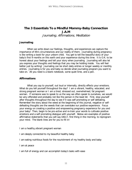#### **The 3 Essentials To a Mindful Mommy-Baby Connection J.A.M** Journaling, Affirmations, Meditation

#### **Journaling**

When we write down our feelings, thoughts, and experiences we capture the importance of life's circumstances and our reality of them. Journaling during pregnancy is like writing a book for your unborn child. You get to tell the beautiful story of your baby's first 9 months on this earth and your experience during this time. It is O.K. to be honest about your feelings and tell your story when journaling. Journaling will also let you express your thoughts and feelings that you may be holding inside. You will feel better just by writing! Journaling can be short daily entries or longer weekly or monthly entries. Journaling is for you and baby so decide what journaling program you want to take on. All you need is a blank notebook, some quiet time, and a pen.

#### **Affirmations**

What you say to yourself, out loud or internally, directly effects your emotions. What do you tell yourself throughout the day? I am a vibrant, healthy, educated, and strong pregnant woman or I am a tired, stressed out, overwhelmed, fat pregnant woman. If someone was to speak to us the way we often speak to ourselves, we would be very offended and probably not like the person in the least bit. First, stop yourself after thoughts throughout the day to see if it was self promoting or self defeating. Remember the story about the weed at the beginning of this journal, negative or selfdefeating thoughts are the weeds that can overstake our positive experience. Focus your energy on creating a positive and empowering pregnancy experience for you and your baby! Then, begin to be pro-active and re-train your words to cultivate positive emotions and a self promoting dialogue with yourself. Below are examples of positive affirmative statements that you will say DAILY, first thing in the morning, to reprogram your mind. The blank lines are for you to fill in!

I am a healthy,vibrant pregnant woman

I am deeply connected to my beautiful healthy baby

I am eating nutritious foods for the nourishment of my healthy body and baby

I am at peace

I am full of energy and can accomplish today's tasks with ease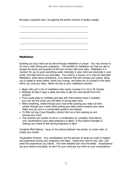My body is beautiful and I am gaining the perfect amount of healthy weight

\_\_\_\_\_\_\_\_\_\_\_\_\_\_\_\_\_\_\_\_\_\_\_\_\_\_\_\_\_\_\_\_\_\_\_\_\_\_\_\_\_\_\_\_\_\_\_\_\_\_\_\_\_

\_\_\_\_\_\_\_\_\_\_\_\_\_\_\_\_\_\_\_\_\_\_\_\_\_\_\_\_\_\_\_\_\_\_\_\_\_\_\_\_\_\_\_\_\_\_\_\_\_\_\_\_\_

\_\_\_\_\_\_\_\_\_\_\_\_\_\_\_\_\_\_\_\_\_\_\_\_\_\_\_\_\_\_\_\_\_\_\_\_\_\_\_\_\_\_\_\_\_\_\_\_\_\_\_\_\_

\_\_\_\_\_\_\_\_\_\_\_\_\_\_\_\_\_\_\_\_\_\_\_\_\_\_\_\_\_\_\_\_\_\_\_\_\_\_\_\_\_\_\_\_\_\_\_\_\_\_\_\_\_

\_\_\_\_\_\_\_\_\_\_\_\_\_\_\_\_\_\_\_\_\_\_\_\_\_\_\_\_\_\_\_\_\_\_\_\_\_\_\_\_\_\_\_\_\_\_\_\_\_\_\_\_\_

#### **Meditation**

Quieting our busy mind can be done through meditation or prayer. You may choose to do one or both during your pregnancy. The benefits of meditation are that you get to escape the stress and busyness of life and connect with your baby. Meditation is a moment for you to push everything aside, internally in your mind and externally in your world, and take time for you and baby. Your mind is a muscle, so it must be exercised. Meditation, when done consistently, is an exercise that will increase your peace, allow you to adapt to stress better, boost your energy, and allow you to connect to the spirit within you and your baby. Below are tips to your meditation practice.

- Begin with just 5 min of meditation then slowly increase it to 15 to 30 minutes
- Meditate at least 5 days a week and daily to get the most benefit from this practice
- Find a quiet place to meditate and play soft instrumental music if available (you can use the music you will listen to during labor also)
- When breathing, inhale through your nose while pushing your belly out then exhale through your mouth while pulling your belly button towards your spine. Make sure you are in a comfortable position and relaxed
- To filter out your busy thoughts, picture them as a train passing by and leaving your mind
- Your practice can consist of one or a combination of; complete mind silence, your visualizations (your ideal pregnancy & labor), & the positive thoughts & feelings you intend to feel during pregnancy & labor

Complete Mind Silence: focus on the silence between two words, an ocean view, or simply your breath

Visualization Practice: Your visualizations are the pictures of what you want to happen and experience during your pregnancy and labor. Guide your mind to see, hear, and smell the experiences you intend. The more detailed and vivid the better. Visualizations are your dreams and goals, so don't let your mind put any limits on your visualizations.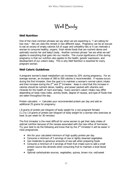## Well Body

#### <span id="page-17-0"></span>**Well Nutrition**

One of the most common phrases we say when we are expecting is, "I am eating for two now." We can view this remark in two different ways. Pregnancy can be an excuse to eat an excess of empty calories full of sugar and unhealthy fats or it can motivate a woman to consume healthy, organic, fresh whole foods that are nutrient dense and optimally nourish her and baby's body. Another common phrase "we are what we eat" applies to everything that goes into our mouths. The crucial significance of this during pregnancy is that our nutrition also applies to the health, genetic expression, and development of our unborn baby. This is why Well Nutrition is essential for every pregnant woman.

#### **Well Caloric Guidelines**

A pregnant woman's basal metabolism can increase by 25% during pregnancy. For an average woman, an increase of 300 to 500 calories is recommended. If nausea occurs during the first trimester, then the goal is to maintain a woman's normal caloric intake and then increase during the  $2^{nd}$  and  $3^{rd}$  trimester. Keep in mind that this increase in calories should be nutrient dense, healthy, and power packed with vitamins and minerals for the health of mom and baby. Every woman's caloric intake may differ depending on body mass index, activity levels, degree of nausea, and type of foods that are eaten throughout the day.

Protein calculator  $=$  Calculate your recommended protein per day and add an additional 25 grams for pregnancy

(.8 grams of protein per kilogram of body weight for a non-pregnant female) (1.2 to 1.8 grams of protein per kilogram of body weight for a woman who exercises at least 3x per week for 30 minutes)

The first trimester is the most difficult for some women to get their daily intake of optimal nutrition because of the nausea associated with the new influx of hormones. Try your best to do the following and know that by the  $2<sup>nd</sup>$  trimester it will be easier in most pregnancies.

- $\star$  Aim for your calculated minimum of high quality protein per day
- $\star$  Consume a minimum of 5 servings of raw or lightly steamed vegetables
- Use moderate to generous amounts of sea salt when preparing foods
- $\star$  Consume a minimum of 3 servings of fresh fruit (make sure to add a small protein source like almonds when consuming fruit to maintain a level blood sugar)
- Optimal carbohydrate sources; vegetables, quinoa, brown rice, red/sweet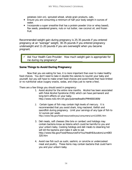potatoes (skin on), sprouted wheat, whole grain products, oats.

- Ensure you are consuming a minimum of half your body weight in ounces of water.
- $\star$  Incorporate a super smoothie that has a protein powder (rice or whey based), flax seeds, powdered greens, nuts or nut butter, raw coconut oil, and frozen fruit.

Recommended weight gain during pregnancy is 25-35 pounds if you entered pregnancy at an "average" weight, 30-35 pounds if you entered pregnancy underweight and 11-20 pounds if you are overweight when you became pregnant.

 $\checkmark$  Ask Your Health Care Provider: How much weight gain is appropriate for me during my pregnancy?

#### **Some Things to Avoid During Pregnancy**

Now that you are eating for two, it is more important than ever to make healthy food choices. You don't need to take in double the calories to nourish your baby and yourself, but you will have to make smart food choices and avoid foods that have limited or no nutritional value (sugary snacks, sodas, and chips just to name a few).

There are a few things you should avoid in pregnancy:

- 1. Avoid alcohol for the entire nine months. Alcohol has been associated with Fetal Alcohol Syndrome (FAS) which can have permanent and long-term effects on your baby. http://www.ncbi.nlm.nih.gov/pubmedhealth/PMH0001909/
- 2. Certain types of fish may contain high levels of mercury. It is recommended that you avoid shark, king mackerel, tilefish and swordfish during pregnancy. Limit your servings of any type of fish to 12 ounces per week. http://www.fda.gov/food/resourcesforyou/consumers/ucm110591.htm
- 3. Deli meats, soft cheeses (like brie or camber) and hotdogs may contain bacteria know as listeria which could be harmful to you and your unborn baby. Cooking hotdogs and deli meats to steaming hot will kill the bacteria and make it safe to eat. http://www.fda.gov/Food/ResourcesForYou/HealthEducators/ucm083 320.htm
- 4. Avoid raw fish such as sushi, sashimi, or cerviche or undercooked meat and poultry. These items may contain bacteria that could harm you and your unborn baby.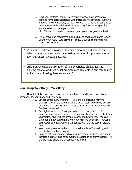- 5. Limit your caffeine intake. In early pregnancy, large amounts of caffeine have been associated with increased miscarriages. Caffeine is found in tea, chocolate, coffee and soda. Try replacing caffeinated beverages with decaffeinated versions or try flavored or sparkling waters to help hydrate your body. http://www.marchofdimes.com/pregnancy/nutrition\_caffeine.html
- 6. If you crave non-food items such as baking soda, corn starch, or clay, talk to your health care provider. These cravings could indicate a mineral deficiency.
- Ask Your Healthcare Provider: If you are smoking and want to quit, what programs are available for smoking cessation for pregnant moms? Do you suggest nicotine patches?
- \_\_\_\_\_\_\_\_\_\_\_\_\_\_\_\_\_\_\_\_\_\_\_\_\_\_\_\_\_\_\_\_\_\_\_\_\_\_\_\_\_\_\_\_\_\_\_\_\_\_\_\_\_\_\_\_\_\_  $\checkmark$  Ask Your Healthcare Provider: If you experience challenges with abusing alcohol or drugs, what programs are available in our community to help me quit using these substances?

\_\_\_\_\_\_\_\_\_\_\_\_\_\_\_\_\_\_\_\_\_\_\_\_\_\_\_\_\_\_\_\_\_\_\_\_\_\_\_\_\_\_\_\_\_\_\_\_\_\_\_\_\_\_\_\_\_\_ \_\_\_\_\_\_\_\_\_\_\_\_\_\_\_\_\_\_\_\_\_\_\_\_\_\_\_\_\_\_\_\_\_\_\_\_\_\_\_\_\_\_\_\_\_\_\_\_\_\_\_\_\_\_\_\_\_\_

\_\_\_\_\_\_\_\_\_\_\_\_\_\_\_\_\_\_\_\_\_\_\_\_\_\_\_\_\_\_\_\_\_\_\_\_\_\_\_\_\_\_\_\_\_\_\_\_\_\_\_\_\_\_\_\_\_\_

#### **Nourishing Your Body & Your Baby**

Now, let's talk about some ways to help you have a healthy and nourishing pregnancy for your baby and your body:

- 1. Eat breakfast every morning. If you are experiencing morning sickness, try some crackers or whole wheat toast before you get out of bed in the morning. Eat the rest of your breakfast later when you feel less nauseated.
- 2. Eat high-fiber foods. Constipation is a common symptom of pregnancy and can be prevented by eating whole-grain cereals, fruits, vegetables, whole wheat breads, beans, and brown rice. You can even add a fiber supplement into your morning smoothie. Increase your water at least another 8-12 ounces with the increase in dietary fiber.
- 3. Keep healthy snacks on hand. Included is a list of 20 healthy and easy to keep on hand snacks.
- 4. Ensure that every snack and meal is glycemicly balanced. Meaning it includes a protein and carbohydrate (vegetarian or animal based). All snacks listed below are glycemicaly balanced.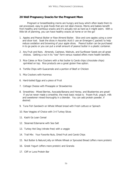#### **20 Well Pregnancy Snacks for the Pregnant Mom**

Pregnant or breastfeeding moms are hungry and busy which often leads them to eat processed, easy to grab foods that are not ideal choices. Moms and babies benefit from healthy and nutritious snacks and it's actually not as hard as it might seem. With a little bit of planning, you can have healthy snacks at home or on the go!

- 1. Apples and Peanut Butter or Raw Almond Butter. Slice and core apples using a corer and slicer tool. Soak the slices in Ascorbic Acid (I use an Emergen-C packet) to help reduce oxidation and browning of your apple slices. Peanut butter can be purchased in to go packs or you can put a small amount of peanut butter in a plastic container.
- 2. Any Fruit and Nuts. Almonds, Cashews, Walnuts, and Sunflower Seeds are all great choices. Getting a nut in its "raw" form versus roasted offers more health benefits.
- 3. Rice Cakes or Rice Crackers with a Nut butter & Carob chips (chocolate chips) sprinkled on top. Rice products are a great gluten free option.
- 4. Tortilla Chips with Guacamole and a portion of Beef or Chicken
- 5. Pita Crackers with Hummus
- 6. Hard-boiled Eggs and a piece of Fruit
- 7. Cottage Cheese with Pineapple or Strawberries
- 8. Smoothies-- Mixed Berries, Avocado/Banana and Honey, and Blueberries are great! If you've never made a smoothie, the most basic recipe is: frozen fruit, yogurt, milk and sweetener mixed thoroughly in a blender. You can add protein powder, if desired.
- 9. Tuna Fish Sandwich on Whole Wheat bread with Fresh Lettuce or Spinach
- 10. Raw Veggies of Choice with 3-4 Turkey Slices
- 11. Kashi Go Lean Cereal
- 12. Steamed Edamame with Sea Salt
- 13. Turkey Hot Dog (nitrate free) with a veggie
- 14. Trail Mix: Your Favorite Nuts, Dried Fruit and Carob Chips
- 15. Nut Butter & Natural Jelly on Whole Wheat or Sprouted Bread (offers more protein)
- 16. Greek Yogurt (offers more protein) and Granola
- 17. Cliff or Luna Protein Bar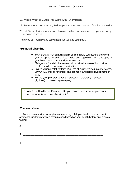- 18. Whole Wheat or Gluten Free Waffle with Turkey Bacon
- 19. Lettuce Wrap with Chicken, Red Peppers, & Mayo with Cracker of choice on the side
- 20. Hot Oatmeal with a tablespoon of almond butter, cinnamon, and teaspoon of honey or agave mixed in.

There you go! Yummy and easy snacks for you and your baby.

#### **Pre-Natal Vitamins**

- $\star$  Your prenatal may contain a form of iron that is constipating therefore you can opt to get an iron free version and supplement with chlorophyll if your blood tests show any signs of anemia.
- Metagenics Prenatal Vitamins contain a natural source of iron that in most cases does not cause constipation
- \* Ensure your prenatal contains 1500 mg of purity certified, marine source, EPA/DHA & choline for proper and optimal neurological development of baby
- Ensure your prenatal contains magnesium (preferably magnesium glycinate) to prevent leg cramping

 Ask Your Healthcare Provider: Do you recommend iron supplements above what is in a prenatal vitamin?

\_\_\_\_\_\_\_\_\_\_\_\_\_\_\_\_\_\_\_\_\_\_\_\_\_\_\_\_\_\_\_\_\_\_\_\_\_\_\_\_\_\_\_\_\_\_\_\_\_\_\_\_\_\_\_\_\_\_\_

#### Nutrition Goals:

1. Take a prenatal vitamin supplement every day. Ask your health care provider if additional supplementation is recommended based on your health history and prenatal testing.

|    | 2. $\qquad \qquad$ |  |
|----|--------------------|--|
|    |                    |  |
| 3. |                    |  |
|    |                    |  |
|    |                    |  |
| 4. |                    |  |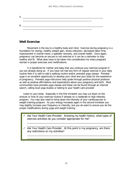| ∽<br>J. |  |
|---------|--|
|         |  |
| r       |  |
|         |  |

#### **Well Exercise**

Movement is the key to a healthy body and mind. Exercise during pregnancy is a foundation for energy, healthy weight gain, stress reduction, decreased labor time, improvement in overall mood, a speedier recovery, and overall health. Once again, pregnancy can become an excuse to not exercise or it can be a motivator to stay healthy and fit. What does have to be taken into consideration for every pregnant woman is proper exercises and modifications.

It is beneficial for mother and baby that you continue your exercise program if you are already doing so. If you have not had any form of regular exercise in your daily routine then it is safe to add a walking routine and/or prenatal yoga classes. Prenatal yoga is an excellent opportunity to develop your mind and your body for the experience of pregnancy. Prenatal yoga instructors help guide through positive physical positions as well as positive affirmations and expectations about your pregnancy and birth. Most communities have prenatal yoga classes and these can be found through an internet search, calling local yoga studios or talking to your health care provider.

Listen to your body. Especially in the first trimester you may cut down on the amount or time of your exercise routine if already on a moderate to high intensity program. You may also need to bring down the intensity of your cardiovascular or weight training program. As your energy increases again in the second trimester you may slightly increase your frequency or intensity, but you do want to ensure you do the proper modifications during yoga and weight training.

 Ask Your Health Care Provider: Knowing my health history, what types of exercise activities do you consider appropriate for me?

\_\_\_\_\_\_\_\_\_\_\_\_\_\_\_\_\_\_\_\_\_\_\_\_\_\_\_\_\_\_\_\_\_\_\_\_\_\_\_\_\_\_\_\_\_\_\_\_\_\_\_\_\_\_\_\_\_\_\_\_ \_\_\_\_\_\_\_\_\_\_\_\_\_\_\_\_\_\_\_\_\_\_\_\_\_\_\_\_\_\_\_\_\_\_\_\_\_\_\_\_\_\_\_\_\_\_\_\_\_\_\_\_\_\_\_\_\_\_\_\_

\_\_\_\_\_\_\_\_\_\_\_\_\_\_\_\_\_\_\_\_\_\_\_\_\_\_\_\_\_\_\_\_\_\_\_\_\_\_\_\_\_\_\_\_\_\_\_\_\_\_\_\_\_\_\_\_\_\_\_\_ \_\_\_\_\_\_\_\_\_\_\_\_\_\_\_\_\_\_\_\_\_\_\_\_\_\_\_\_\_\_\_\_\_\_\_\_\_\_\_\_\_\_\_\_\_\_\_\_\_\_\_\_\_\_\_\_\_\_\_\_

 Ask Your Health Care Provider: At this point in my pregnancy, are there any restrictions on my activities?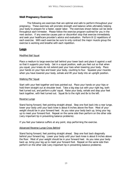#### **Well Pregnancy Exercises**

The following are exercises that are optimal and safe to perform throughout your pregnancy. These exercises will promote strength and balance while ultimately helping your body to prepare for a faster, easier labor. The exercises shown below can be done throughout each trimester. Please follow the exercise program outlined for you in the next section. If any exercise causes pain or discomfort stop that exercise immediately and seek your healthcare provider's advice and evaluation. Perform 8-12 repetitions of each exercise. With each exercise be sure to only contract the major muscle group the exercise is working and breathe with each repetition.

#### **Legs**

#### Modified Ball Squat

Place a medium to large exercise ball behind your lower back and place it against a wall so that it supports your body. Get in a squat position, walk you feet out so that when you squat, your knees do not extend past your toes when lowering your body. Place your hands on your hips and lower your body, counting to four. Squeeze your muscles when you have lowered your body, exhale and lift your body into an upright position.

#### Walking Plie' Squat

Start with your feet together and toes pointed out. Place your hands on your hips or hold them straight out at shoulder level. Take a big step out with your right leg, both feet turned out, and perform a plie' squat. Raise your body, exhale and step your feet back together, with feet turned out. Squat 8x to the right and 8x to the left.

#### Reverse Lunge

Stand facing forward, feet pointing straight ahead. Step one foot back into a rear lunge, lower your body until your back knee is about 6 inches above the floor. Most of your weight should be in your forward heel. As you raise your body back up, bring your leg up to meet your forward foot. Repeat on the same side then perform on the other side (very important tip in preventing balance problems).

If you feel your balance suffers at any point, stop performing the exercise.

#### Advanced Reverse Lunge Cross Behind

Stand facing forward, feet pointing straight ahead. Step one foot back diagonally behind your forward leg. Lower your body until your back knee is about 6 inches above the floor. Most of your weight should be in your forward heel. As you raise your body back up, bring your leg up to meet your forward foot. Repeat on the same side then perform on the other side (very important tip in preventing balance problems).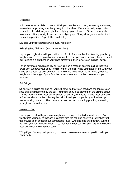#### **Kickbacks**

Hold onto a chair with both hands. Walk your feet back so that you are slightly leaning forward and supporting your body weight on the chair. Place your body weight into your left foot and draw your right knee slightly up and forward. Squeeze your glute muscles and kick your right heel back and slightly up. Slowly draw your knee back into its starting position. Repeat, then switch legs.

Squeeze your glute muscles with every repetition.

#### Side lying Leg Abduction (with or without ball)

Lay on your right side with your left arm in front of you on the floor keeping your body weight as centered as possible and your right arm supporting your head. Raise your left leg, keeping a slight bend in your knee directly up, then lower your leg back down.

For an advanced movement, lay on your side on a medium exercise ball so that your lower arm supports your body from rolling off the ball. Keep your head in line with your spine, place your top arm on your hip. Raise and lower your top leg while you place weight onto the edge of your foot that is in contact with the floor to maintain your balance.

#### Ball Bridge

Sit on your exercise ball and roll yourself down so that your head and the tops of your shoulders are supported by the ball. Your feet should be planted on the ground about 1-2 feet from the ball (your ankles should be under your knees). Lower your butt about 3-6 inches above the floor, letting the ball roll with your upper body as it raises up (never loosing contact). Then raise your rear back up to starting position, squeezing your glutes the entire time.

#### Hamstring Curl

Lay on your back with your legs straight and resting on the ball at ankle level. Place weight into your ankles that are in contact with the ball and raise your lower body off the ground to an engaged but comfortable level. While holding this position, curl the ball with your legs towards your glutes then roll it back out with your legs to the starting position, never lowering your body.

\*Stop if you feel any back pain or you can not maintain an elevated position with your lower body.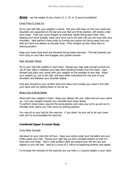**Arms** - use the weight of your choice (2, 5, 10, or 15 pound dumbbells)

#### Chest Press & Chest Fly

Sit on your ball with your weights in hands. Roll your self down so that your head and shoulders are supported on the ball and your feet are firmly planted, with ankles under your knees. Take your arms straight up overhead, hands facing each other, then keeping your arms straight, lower your arms out to the side until you are even with your shoulders. Next perform chest press by turning your palms out facing away from you with arm bent and elbows at shoulder level. Press straight up then lower back to starting position.

Keep your lower body level and elevated during these exercises. The ball prevents you from lying on your back and engages your gluteal muscles.

#### Rear Shoulder Raises

Sit on your ball with weights in each hand. Spread your legs wide enough so that you can fit your belly in between your legs when bending forward from the waist. Lean forward and place your hands with your weights on the outsides of your feet. Raise your weights up, out to the side, and back while contracting the rear part of your shoulders and between your shoulder blades.

Only lean forward to your comfort level and make sure to keep your head in line with your spine and not looking down or too far up.

#### Bicep Curls & Bicep Raises

Stand with your weights in hand. Keep your elbows into your sides and turn your palms up. Curl your weights towards your shoulder then lower slowly.

To perform bicep raises, assume the same position and raise your arms up and out to shoulder level, palms out, then return to starting position.

You may sit on your ball for this exercise. If you stand, be sure not to let your lower back arch to accommodate the exercise.

#### **Combined Upper & Lower Body**

#### Cross Body Strength

Get down on your mat onto all fours. Keep your wrists under your shoulders and your knees under your hips. Extend your right leg out into a straight position so that it is level with your body. Hold in that position while you extend your left arm out and slightly to your left side. Hold for a count of 2, return to beginning position and repeat.

To increase the intensity of this exercise you can hold a 1-2 pound weight in your hand.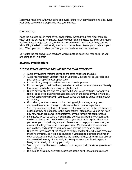Keep your head level with your spine and avoid letting your body lean to one side. Keep your body centered and stop if you lose your balance.

#### Good Mornings

Place the exercise ball in front of you on the floor. Spread your feet wider than hip width apart to get ready for squats. Keeping your head and chest up, lower your upper body until you can get both of your hands around the ball. Raise your body back up while lifting the ball up with straight arms to shoulder level. Lower your body and your ball. When your ball touches the floor you are ready for another repetition.

Do not lift the ball above your head and when squatting push your rear back like you are going to sit in a chair.

#### **Exercise Modifications**

#### \*These should continue throughout the third trimester\*

- $\triangleright$  Avoid any twisting motions (twisting the torso relative to the hips)
- $\triangleright$  Avoid raising straight up from lying on your back, instead roll to your side and push yourself up with your upper body
- $\triangleright$  Do not lift any weights overhead such as shoulder presses
- $\triangleright$  Do not hold your breath with any exercise or perform an exercise at an intensity that causes you to become dizzy or light headed
- $\triangleright$  During any weight training make sure to tilt your pelvis posterior (toward your spine), as to avoid putting increased pressure on the joints of your lower back, as your posture (the sway in your lower spine) changes to adapt to the growth of the baby
- $\triangleright$  If or when your form is compromised during weight training at any point decrease the amount of weight or decrease the amount of repetitions
- $\triangleright$  You may continue any forms of exercise that you performed in the first trimester as long as they do not apply to the modifications listed above, you do not have any new health problems, joint problems, or your form is not compromised.
- $\triangleright$  For squats, switch to using a medium size exercise ball behind your back with the ball against a wall. Let the ball roll up your back while against the wall as you lower your body during a squat. Remember to keep your knees over your ankles not letting them extend past your toes. Choose a wide stance or even plie' position, and exhale as you raise your body up with good posture.
- $\triangleright$  During the later stages of the second trimester, and for others the mid stages of the third trimester, do not be discouraged if you need to decrease the time of your cardiovascular training, decrease the number of days of formal exercise, or decrease the intensity of your weight training because your blood oxygen is being more heavily utilized by your baby.
- $\triangleright$  Stop any exercise that causes pulling or pain in your back, pelvis, or groin (round ligament) area.
- $\triangleright$  It is best to avoid any plyometric exercises at this point (squat jumps are one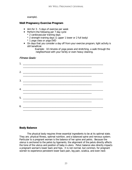example).

#### **Well Pregnancy Exercise Program**

- $\star$  Aim for 3 5 days of exercise per week
- $\star$  Perform the following per 7 day cycle
	- \* 2 cardiovascular training days
	- \* 2 strength training days (1 upper 1 lower or 2 full body)
	- \* 1 yoga class or yoga DVD
- \* On days that you consider a day off from your exercise program, light activity is still beneficial.

 Example: 10 minutes of yoga poses and stretching, a walk through the neighborhood with your family or even heavy cleaning.

#### Fitness Goals:

| ,我们也不能会有什么。""我们的人,我们也不能会有什么?""我们的人,我们也不能会有什么?""我们的人,我们也不能会有什么?""我们的人,我们也不能会有什么?"" |  |
|-----------------------------------------------------------------------------------|--|
|                                                                                   |  |
|                                                                                   |  |
|                                                                                   |  |
|                                                                                   |  |
|                                                                                   |  |
|                                                                                   |  |
|                                                                                   |  |
|                                                                                   |  |

#### **Body Balance**

The physical body requires three essential ingredients to be at its optimal state. They are; physical fitness, optimal nutrition, and a balanced spine and nervous system. Particular to a pregnant woman is the balance of her spine and pelvis. Because the uterus is anchored to the pelvis by ligaments, the alignment of the pelvis directly affects the tone of the uterus and position of baby in-utero. Pelvic balance also directly impacts a pregnant woman's lower back and hips. It is not normal, but common, for pregnant women to experience persistent lower back pain, leg pain, sciatica, and even neck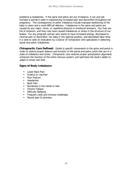problems & headaches. If the spine and pelvis are out of balance, it can and will increase a woman's odds in experiencing increased pain and discomfort throughout her pregnancy. The consequences of pelvic imbalance include improper positioning of the baby in-utero and a more difficult delivery. Imbalances in the spine and pelvis are caused by any major, minor, or repetitive physical or emotional stressors. Our lives are full of stressors, and they may have caused imbalances or stress in the structure of our bodies. For any pregnant woman who wants to have increased energy, decreased to minimal pain or discomfort, her baby in the optimal position, and decreased labor time, it is wise to seek an evaluation by a Doctor of Chiropractic who specializes in detecting spinal and pelvic imbalances.

**Chiropractic Care Defined:** Gentle & specific movements to the spine and pelvis in order to restore proper balance and function of the spinal and pelvic joints that are in a state of imbalance and stress. Chiropractic care restores proper spinal/pelvic alignment, enhances the function of the entire nervous system, and optimizes the body's ability to adapt to stress and heal.

#### **Signs of Body Imbalance**

- **Lower Back Pain**
- Sciatica or Leg Pain
- Poor Posture
- **Headaches**
- Neck Pain
- **Numbness in the hands or feet**
- **•** Chronic Fatique
- **-** Difficulty Sleeping
- Frequent colds and immune challenges
- **Muscle pain & soreness**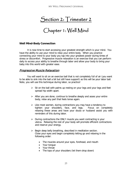<span id="page-29-0"></span>

## Chapter 1: Well Mind

#### **Well Mind-Body Connection**

It is now time to start accessing your greatest strength which is your mind. You have the ability to use your mind to relax your entire body. When you practice connecting your mind to your body you tap into your greatest power during times of stress or discomfort. Progressive muscle relaxation is an exercise that you can perform daily to access your ability to breathe through labor and allow your body to bring your baby into this world with greater ease.

#### Progressive Muscle Relaxation:

You will want to sit on an exercise ball that is not completely full of air (you want to be able to sink into the ball a bit but still have support) as this will be your labor ball. Note, you will use this technique during labor, so practice!

- $\triangleright$  Sit on the ball with palms up resting on your legs and your legs and feet spread hip width apart.
- $\triangleright$  After you are done, continue to breathe deeply and asses your entire body, relax any part that feels tense again.
- $\triangleright$  Like most women, during contractions you may have a tendency to tighten your shoulders, face, and legs. Focus on completely relaxing these areas and have your doula or husband assist you with reminders of this during labor.
- $\triangleright$  During contractions the ONLY muscle you want contracting is your uterus. Relaxing the rest of your body will promote efficient contractions and reserve your energy.
- $\triangleright$  Begin deep belly breathing, described in meditation section. Close your eyes and begin completely letting go and relaxing in the following order:
	- The muscles around your eyes, forehead, and mouth
	- Your tongue
	- Your throat
	- The tops of your shoulders (let them drop down)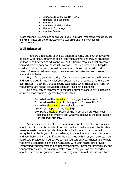- Your arms (give them a little shake)
- Your neck and upper back
- Your hands
- Your chest & abdominal wall
- The tops of your legs
- Your feet & toes

Please continue reviewing and editing your goals, journaling, meditating, visualizing, and affirming. These are the cornerstones of a well pregnancy and your optimal labor/delivery.

#### **Well Educated**

There are a multitude of choices about pregnancy and birth that you will be faced with. Many reference books, television shows, and movies are based on fear. The first step to educating yourself is finding resources that empower you and provide evidence-based information. Finding a local, out of hospital childbirth education class that will discuss your options and provide evidencebased information will also help you as you seek to make the best choices for you and your baby.

If you fail to seek out quality information and resources, you will quickly find your choices limited by what your doctor, nurse, or others believe are the best choices. It can be a disappointing experience when choices are made for you and you are not an active participant in your birth experience.

One easy way to remember to ask good questions about any suggestion or intervention that is suggested to you is BRAND:

- B= What are the **benefits** of this suggestion/intervention?
- $R=$  What are the risks of this suggestion/intervention?
- A= What **alternatives** are available to me?
- $N=$  What happens if I do nothing?
- D= Make a **decision** based on the information provided, your personal belief systems and what you believe is the best decision for you and your baby.

Sometimes women feel nervous making requests to doctors and nurses about their birth that is outside of normal practice. Well-educated clients often make requests that are outside of what is typically done. It is important to recognize that this is your birth experience, it is about what you want for you and your baby and it is O.K. if others do not agree with all of your choices. Your healthcare provider is hired by you to help you sort out your choices and to help you have a safe birth experience. Consulting with your health care provider, researching your information and understanding your personal family history and your preferences will allow you to make choices that you can feel confident about. There are no guarantees on how things will turn out, so it is important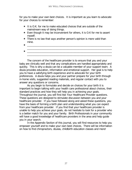for you to make your own best choices. It is important as you learn to advocate for your choices to remember:

- $\star$  It is O.K. for me to make educated choices that are outside of the mainstream way of doing things.
- $\star$  Even though it may be inconvenient for others, it is O.K for me to assert myself.
- $\star$  There is no law that says another person's opinion is more valid than mine.
- \_\_\_\_\_\_\_\_\_\_\_\_\_\_\_\_\_\_\_\_\_\_\_\_\_\_\_\_\_\_\_\_\_\_\_\_\_\_\_\_\_\_\_\_\_\_\_\_\_\_\_\_\_\_\_\_\_\_\_\_ \_\_\_\_\_\_\_\_\_\_\_\_\_\_\_\_\_\_\_\_\_\_\_\_\_\_\_\_\_\_\_\_\_\_\_\_\_\_\_\_\_\_\_\_\_\_\_\_\_\_\_\_\_\_\_\_\_\_\_\_ \_\_\_\_\_\_\_\_\_\_\_\_\_\_\_\_\_\_\_\_\_\_\_\_\_\_\_\_\_\_\_\_\_\_\_\_\_\_\_\_\_\_\_\_\_\_\_\_\_\_\_\_\_\_\_\_\_\_\_\_

\_\_\_\_\_\_\_\_\_\_\_\_\_\_\_\_\_\_\_\_\_\_\_\_\_\_\_\_\_\_\_\_\_\_\_\_\_\_\_\_\_\_\_\_\_\_\_\_\_\_\_\_\_\_\_\_\_\_\_\_

The concern of the healthcare provider is to ensure that you and your baby are clinically well and that any complications are handled appropriately and quickly. This is why a doula can be a valuable member of your support team. A doula provides education, information and emotional support. Her goal is to help you to have a satisfying birth experience and to advocate for your birth preferences. A doula helps you and your partner prepare for your birth through in-home visits, suggested reading materials, and regular contact with you to answer any questions or concerns.

As you begin to formulate and decide on choices for your birth it is important to begin talking with your health care professional about choices, their standard practices and how they will help you in achieving your goals. Throughout the journal, you will find Ask Your Healthcare Provider questions. These questions are designed to stimulate discussion between you and your healthcare provider. If you have followed along and asked these questions, you have the basis of forming a birth plan and understanding what you can expect from your healthcare provider. If you find that your healthcare provider is unable to help you achieve your goals, do not hesitate to look for a provider who is a better match for you and your family. Birth Professionals in your community will have a good knowledge of healthcare providers in the area and help guide you in your search.

In the Appendix Section of this journal, you will find resources to help you empower yourself and to make your own best choices. There will be information on how to find chiropractors, doulas, childbirth education classes and more!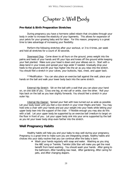## Chapter 2: Well Body

#### <span id="page-32-0"></span>**Pre-Natal & Birth Preparation Stretches**

During pregnancy you have a hormone called relaxin that circulates through your body in order to increase the elasticity of your ligaments. This allows for expansion of your pelvis for your growing baby and for labor. For this reason, pregnancy is a great time to take advantage of increasing your flexibility.

Perform the following stretches after your workout, or 3 to 4 times, per week and hold all stretches for a count of 30 seconds.

Downward Dog: Come down to all fours on the ground, press weight into the palms and heels of your hands and lift your hips and knees off the ground while keeping your feet planted. Make sure your head is down and your elbows are in. Start with a deep bend in your knees and spread your legs wider if needed. Gradually drop your heels to the ground and lift your hips higher into the air as you relax into the stretch. You should feel a stretch in your calves, your buttocks, hips, chest, and upper back.

\*\*Modification - You can also place an exercise ball against the wall, place your hands on the ball and walk your lower body back into the same stretch.

External Hip Stretch: Siit on the ball with a wall that you can place your hand on, on one side of you. Cross one leg, at mid calf or ankle, over the other. Roll your hips back on the ball as you lean slightly forwards. You should feel a stretch in your outer hip.

Internal Hip Opener: Spread your feet with toes turned out as wide as possible. Let your body lower until you feel a nice stretch in your inner thighs and hold. You may hold onto a chair with your hands and put your weight into your heels while letting your upper body lean into the support of the chair. If flexible enough you may also do this with a ball. Let your upper body be supported by an exercise ball (medium to large) on the floor in front of you. Let your upper body sink into your arms supported by the ball as you let your lower body drop even farther into the stretch.

#### **Well Pregnancy Habits**

Healthy habits will help you and your baby to stay well during your pregnancy. Pregnancy is a great time to make sure you are integrating simple, healthy habits and choices into your daily routine that you can continue after the baby is born.

 $\star$  Wash your hands regularly with soap and water. Washing as you sing the ABC song or Twinkle, Twinkle Little Star will make you get the most benefit from hand washing. You should wash your hands: After going to the bathroom, After handling raw meat, After gardening, After caring for pets, and After changing diapers.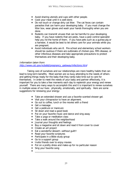- $\star$  Avoid sharing utensils and cups with other people.
- $\star$  Cook your meat until it is well-done.
- ★ Do not touch or change dirty cat litter. The cat feces can contain parasites that can harm your developing baby. If you must change the litter box, wear gloves and wash your hands thoroughly when you are done.
- $\star$  Rodents can transmit viruses that can be harmful to your developing baby. If you have rodents that are pests, have a pest control specialist help you rid the home of them. If you have pets such as a guinea pig or a hamster, it would be best to let others care for your animals while you are pregnant.
- \* Avoid individuals who are ill. Pre-school and elementary school workers should be cautious if there are outbreaks of chicken pox, fifth disease, or other infectious diseases and take appropriate precautions to protect themselves and their developing baby.

#### Information taken from: [http://www.cdc.gov/ncbddd/pregnancy\\_gateway/infections.html](http://www.cdc.gov/ncbddd/pregnancy_gateway/infections.html)

Taking care of ourselves and our relationships are more healthy habits that can lead to long-term benefits. Most women are so busy attending to the needs of others and getting things ready for the baby that they rarely take time out to care for themselves. In order to meet the needs of your baby and partner effectively, it is important for you to take a few moments each day to replenish your energy and renew yourself. There are many ways to accomplish this and it is important to renew ourselves in multiple areas of our lives: physically, emotionally, and spiritually. Here are some suggestions for renewing your energy:

- \* Take an extended shower and use a favorite scented shower gel.
- $\star$  Visit your chiropractor to have an alignment.
- $\star$  Go out to coffee, lunch or the movies with a friend
- ★ Get a massage
- $\star$  Get a pedicure or manicure
- **★** Sit down and read a good book
- $\star$  Put on your favorite music and dance and sing away
- $\star$  Take a yoga or meditation class
- $\star$  Take a walk around the neighborhood
- $\star$  Journal your thoughts and feelings
- $\star$  Buy a magazine and sit down and read it from cover to cover
- **★** Create an art project
- ★ Eat a wonderful dessert—without quilt!!
- $\star$  Read your favorite scriptures
- $\star$  Participate in a Bible study group
- $\star$  Go to a support group
- $\star$  Invite friends over to enjoy movies
- ★ Put on a pretty dress and make-up for no particular reason
- $\star$  Sing your favorite song
- \_\_\_\_\_\_\_\_\_\_\_\_\_\_\_\_\_\_\_\_\_\_\_\_\_\_\_\_\_\_\_\_\_\_\_\_\_\_\_\_\_\_\_\_\_\_\_\_\_\_\_\_\_\_\_\_\_\_\_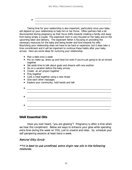#### My Well Pregnancy Journal

\_\_\_\_\_\_\_\_\_\_\_\_\_\_\_\_\_\_\_\_\_\_\_\_\_\_\_\_\_\_\_\_\_\_\_\_\_\_\_\_\_\_\_\_\_\_\_\_\_\_\_\_\_\_\_\_\_\_\_ \_\_\_\_\_\_\_\_\_\_\_\_\_\_\_\_\_\_\_\_\_\_\_\_\_\_\_\_\_\_\_\_\_\_\_\_\_\_\_\_\_\_\_\_\_\_\_\_\_\_\_\_\_\_\_\_\_\_\_

\_\_\_\_\_\_\_\_\_\_\_\_\_\_\_\_\_\_\_\_\_\_\_\_\_\_\_\_\_\_\_\_\_\_\_\_\_\_\_\_\_\_\_\_\_\_\_\_\_\_\_\_\_\_\_\_\_\_\_

Taking time for your relationship is also important, particularly since your baby will depend on your relationship to help him or her thrive. Often partners feel a bit disconnected during pregnancy as their focus shifts towards creating a family and away from being simply a couple. The expectant mom is very focused on her baby and on the upcoming labor and delivery. The expectant father is focusing on providing the necessary resources for the baby and being tender and kind towards his wife. Nourishing your relationship does not have to be hard or expensive, but it does take a time commitment and it will be important to continue these habits after your baby arrives. Here are some ideas for nurturing your relationship:

- $\star$  Plan a date once a week
- $\star$  Put on make-up, dress up and have fun even if you're just going to do an errand together
- ★ Set aside time to talk about goals and dreams with one another
- $\star$  Go on a vacation before the baby arrives
- $\star$  Create an art project together
- $\star$  Pray together
- $\star$  Cook a meal together using a new recipe
- $\star$  Give each other massages
- $\star$  Explore your community, hold hands and talk

| <u> 2002 - Jan James James Jan James James Jan James James Jan James James Jan Jan Jan Jan Jan Jan Jan Jan Jan Ja</u> |
|-----------------------------------------------------------------------------------------------------------------------|
|                                                                                                                       |
| <u> 2000 - Januar Amerikaanse kommunister (</u>                                                                       |
|                                                                                                                       |

#### **Well Essential Oils**

Have you ever heard, "you are glowing"? Pregnancy is often a time when we hear this compliment. Below are ways to enhance your glow while spending extra time during the week on YOU, just to unwind and relax. So, schedule your self pampering sessions at least twice a week.

#### Natural Silky Scrub

#### \*\*It is best to use unrefined, extra virgin raw oils in the following mixtures.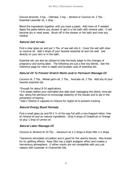Ground almonds, 3 tsp. - Oatmeal, 2 tsp. - Almond or Coconut oil, 2 Tbs. - Essential Lavender oil, 1 drop

Blend the ingredients together until you have a paste. Add more oil if needed. Apply the paste before you shower or get in a hot bath with mineral salts. It will become dry in most areas. Brush off in the shower or hot bath and rinse any residue.

#### Natural Salt Scrubs

Find a clear glass jar and put 1 Tbs. of sea salt into it. Cover the salt with olive or coconut oil. Add 2 drops of your favorite essential oil and mix well. Use directly on your skin or in the bath.

Essential oils can also be utilized to help the body adapt to the changes of pregnancy and during labor. The following are just a few key blends. See the reference page for more in depth and broader uses of essential oils.

#### Natural Oil To Prevent Stretch Marks and/or Perineum Massage Oil

Coconut oil, 2 Tbs., Wheat germ oil, 1 Tbs., Avocado oil, 2 Tbs. Add any of your favorite essential oils

\*Enough for about 8-10 applications

\*4-6 weeks before your estimated due date start massaging this blend, once per day, along the perineum to encourage elasticity of the tissues and to aid in the prevention of tearing

\*Add 2 Vitamin E capsules to mixture for nipple oil to prevent cracking

#### Natural Energy Boost Remedy

Find a small glass jar and fill it 34 of the way full with a non-fragrant lotion, free of mineral oil and un-natural ingredients. Drop 4 drops of Grapefruit or Orange oil plus 1 drop of Lemon oil.

#### Natural Labor Massage Oil

Coconut or Almond oil 10 Tbs. - Geranium oil 1-2 drops & Rose Otto 1-2 drops

\*Geranium stimulates circulation and is good for the uterine tissues. Also known for its uplifting effects. Rose Otto has a slight analgesic effect and creates a harmonious atmosphere. If either scents are not compatible with you just replace with Lavender or Chamomile Oils.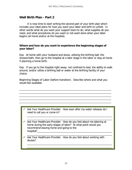#### **Well Birth Plan - Part 2**

It is now time to start writing the second part of your birth plan which includes your ideal plans for how you want your labor and birth to unfold. In other words what do you want your support team to do, what supplies do you need, and what procedures do you want or not want done when your labor begins (at home and/or at the hospital).

#### **Where and how do you want to experience the beginning stages of your labor?**

Exp. At home with your husband and doula, utilizing the birthing ball, the shower/bath, then go to the hospital at a later stage in the labor or stay at home if planning a home birth.

Exp. If you go to the hospital right away; not confined to bed, the ability to walk around, and/or utilize a birthing ball or water at the birthing facility of your choice.

Beginning Stages of Labor (before transition). Describe where and what you would like available.

\_\_\_\_\_\_\_\_\_\_\_\_\_\_\_\_\_\_\_\_\_\_\_\_\_\_\_\_\_\_\_\_\_\_\_\_\_\_\_\_\_\_\_\_\_\_\_\_\_\_\_\_\_\_\_\_\_\_\_\_\_\_\_\_\_ \_\_\_\_\_\_\_\_\_\_\_\_\_\_\_\_\_\_\_\_\_\_\_\_\_\_\_\_\_\_\_\_\_\_\_\_\_\_\_\_\_\_\_\_\_\_\_\_\_\_\_\_\_\_\_\_\_\_\_\_\_\_\_\_\_ \_\_\_\_\_\_\_\_\_\_\_\_\_\_\_\_\_\_\_\_\_\_\_\_\_\_\_\_\_\_\_\_\_\_\_\_\_\_\_\_\_\_\_\_\_\_\_\_\_\_\_\_\_\_\_\_\_\_\_\_\_\_\_\_\_ \_\_\_\_\_\_\_\_\_\_\_\_\_\_\_\_\_\_\_\_\_\_\_\_\_\_\_\_\_\_\_\_\_\_\_\_\_\_\_\_\_\_\_\_\_\_\_\_\_\_\_\_\_\_\_\_\_\_\_\_\_\_\_\_\_ \_\_\_\_\_\_\_\_\_\_\_\_\_\_\_\_\_\_\_\_\_\_\_\_\_\_\_\_\_\_\_\_\_\_\_\_\_\_\_\_\_\_\_\_\_\_\_\_\_\_\_\_\_\_\_\_\_\_\_\_\_\_\_\_\_

 Ask Your Healthcare Provider: How soon after my water releases do I need to call you or come in?

\_\_\_\_\_\_\_\_\_\_\_\_\_\_\_\_\_\_\_\_\_\_\_\_\_\_\_\_\_\_\_\_\_\_\_\_\_\_\_\_\_\_\_\_\_\_\_\_\_\_\_\_\_\_\_\_\_\_\_\_ \_\_\_\_\_\_\_\_\_\_\_\_\_\_\_\_\_\_\_\_\_\_\_\_\_\_\_\_\_\_\_\_\_\_\_\_\_\_\_\_\_\_\_\_\_\_\_\_\_\_\_\_\_\_\_\_\_\_\_\_

\_\_\_\_\_\_\_\_\_\_\_\_\_\_\_\_\_\_\_\_\_\_\_\_\_\_\_\_\_\_\_\_\_\_\_\_\_\_\_\_\_\_\_\_\_\_\_\_\_\_\_\_\_\_\_\_\_\_\_\_

\_\_\_\_\_\_\_\_\_\_\_\_\_\_\_\_\_\_\_\_\_\_\_\_\_\_\_\_\_\_\_\_\_\_\_\_\_\_\_\_\_\_\_\_\_\_\_\_\_\_\_\_\_\_\_\_\_\_\_\_ \_\_\_\_\_\_\_\_\_\_\_\_\_\_\_\_\_\_\_\_\_\_\_\_\_\_\_\_\_\_\_\_\_\_\_\_\_\_\_\_\_\_\_\_\_\_\_\_\_\_\_\_\_\_\_\_\_\_\_\_

 $\checkmark$  Ask Your Healthcare Provider: How do you feel about me laboring at home during the early stages of labor? At what point would you recommend leaving home and going to the hospital?\_\_\_\_\_\_\_\_\_\_\_\_\_\_\_\_\_\_\_\_\_\_\_\_\_\_\_\_\_\_\_\_\_\_\_\_\_\_\_\_\_\_\_\_\_\_\_\_\_\_\_\_\_

 $\checkmark$  Ask Your Healthcare Provider: How do you feel about working with doulas?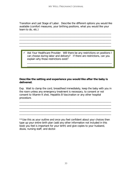Transition and Last Stage of Labor. Describe the different options you would like available (comfort measures, your birthing positions, what you would like your team to do, etc.)

\_\_\_\_\_\_\_\_\_\_\_\_\_\_\_\_\_\_\_\_\_\_\_\_\_\_\_\_\_\_\_\_\_\_\_\_\_\_\_\_\_\_\_\_\_\_\_\_\_\_\_\_\_\_\_\_\_\_\_\_\_\_\_\_\_ \_\_\_\_\_\_\_\_\_\_\_\_\_\_\_\_\_\_\_\_\_\_\_\_\_\_\_\_\_\_\_\_\_\_\_\_\_\_\_\_\_\_\_\_\_\_\_\_\_\_\_\_\_\_\_\_\_\_\_\_\_\_\_\_\_ \_\_\_\_\_\_\_\_\_\_\_\_\_\_\_\_\_\_\_\_\_\_\_\_\_\_\_\_\_\_\_\_\_\_\_\_\_\_\_\_\_\_\_\_\_\_\_\_\_\_\_\_\_\_\_\_\_\_\_\_\_\_\_\_\_ \_\_\_\_\_\_\_\_\_\_\_\_\_\_\_\_\_\_\_\_\_\_\_\_\_\_\_\_\_\_\_\_\_\_\_\_\_\_\_\_\_\_\_\_\_\_\_\_\_\_\_\_\_\_\_\_\_\_\_\_\_\_\_\_\_ \_\_\_\_\_\_\_\_\_\_\_\_\_\_\_\_\_\_\_\_\_\_\_\_\_\_\_\_\_\_\_\_\_\_\_\_\_\_\_\_\_\_\_\_\_\_\_\_\_\_\_\_\_\_\_\_\_\_\_\_\_\_\_\_\_

 $\checkmark$  Ask Your Healthcare Provider: Will there be any restrictions on positions I can choose during labor and delivery? If there are restrictions, can you explain why those restrictions exist?

\_\_\_\_\_\_\_\_\_\_\_\_\_\_\_\_\_\_\_\_\_\_\_\_\_\_\_\_\_\_\_\_\_\_\_\_\_\_\_\_\_\_\_\_\_\_\_\_\_\_\_\_\_\_\_\_\_\_\_\_ \_\_\_\_\_\_\_\_\_\_\_\_\_\_\_\_\_\_\_\_\_\_\_\_\_\_\_\_\_\_\_\_\_\_\_\_\_\_\_\_\_\_\_\_\_\_\_\_\_\_\_\_\_\_\_\_\_\_\_\_

#### **Describe the setting and experience you would like after the baby is delivered.**

Exp. Wait to clamp the cord, breastfeed immediately, keep the baby with you in the room unless any emergency treatment is necessary, to consent or not consent to Vitamin K shot, Hepatitis B Vaccination or any other hospital procedure.

\_\_\_\_\_\_\_\_\_\_\_\_\_\_\_\_\_\_\_\_\_\_\_\_\_\_\_\_\_\_\_\_\_\_\_\_\_\_\_\_\_\_\_\_\_\_\_\_\_\_\_\_\_\_\_\_\_\_\_\_\_\_\_\_\_ \_\_\_\_\_\_\_\_\_\_\_\_\_\_\_\_\_\_\_\_\_\_\_\_\_\_\_\_\_\_\_\_\_\_\_\_\_\_\_\_\_\_\_\_\_\_\_\_\_\_\_\_\_\_\_\_\_\_\_\_\_\_\_\_\_ \_\_\_\_\_\_\_\_\_\_\_\_\_\_\_\_\_\_\_\_\_\_\_\_\_\_\_\_\_\_\_\_\_\_\_\_\_\_\_\_\_\_\_\_\_\_\_\_\_\_\_\_\_\_\_\_\_\_\_\_\_\_\_\_\_ \_\_\_\_\_\_\_\_\_\_\_\_\_\_\_\_\_\_\_\_\_\_\_\_\_\_\_\_\_\_\_\_\_\_\_\_\_\_\_\_\_\_\_\_\_\_\_\_\_\_\_\_\_\_\_\_\_\_\_\_\_\_\_\_\_ \_\_\_\_\_\_\_\_\_\_\_\_\_\_\_\_\_\_\_\_\_\_\_\_\_\_\_\_\_\_\_\_\_\_\_\_\_\_\_\_\_\_\_\_\_\_\_\_\_\_\_\_\_\_\_\_\_\_\_\_\_\_\_\_\_

\*\*Use this as your outline and once you feel confident about your choices then type up your entire birth plan (add any other information not included in this book you feel is important for your birth) and give copies to your husband, doula, nursing staff, and doctor.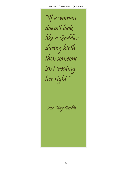"If a woman doesn't look like a Goddess during birth then someone isn't treating her right."

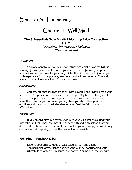## <span id="page-39-0"></span>Section 3: Trimester 3

## Chapter 1: Well Mind

### **The 3 Essentials To a Mindful Mommy-Baby Connection J.A.M**

Journaling, Affirmations, Meditation (Revisit & Revise)

#### **Journaling**

You may want to journal your new feelings and emotions as the birth is nearing. Journal your visualization of your perfect birth. Journal your positive affirmations and your love for your baby. After the birth be sure to journal your birth experience from the physical, emotional, and spiritual aspects. You and your children will love reading it for years to come.

#### Affirmations

Add new affirmations that are even more powerful and uplifting than your first ones. Be specific with them also. For example, "My body is strong and I have the support I need to have a positive, unmedicated birth experience". Make them real for you and when you say them you should feel positive emotions and they should be believable for you. Feel the faith in your affirmations.

#### Meditation

If you haven't already get very vivid with your visualizations during your meditations. Feel, smell, see, hear the perfect birth and birth setting that you desire. Meditation is one of the most important steps to relaxing your mind-body connection and preparing you for the best outcome possible.

#### **Well Mind Throughout Labor**

Labor is your time to let go of expectations, fear, and doubt. The beginning of your labor signifies your journey inward to find your ultimate level of focus, presence, and power. You have all the strength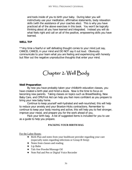<span id="page-40-0"></span>and tools inside of you to birth your baby. During labor you will instinctively use your meditation, affirmative statements, body relaxation skills (with the assistance of your coaches also). This is why you have practiced all of the above exercises in this book. You won't be logically thinking about all you have learned and integrated. Instead you will do what feels right and call on all of the positive, empowering skills you have learned.

#### **WELL TIP**

\*\*Any time a fearful or self defeating thought comes to your mind just say, CANCEL CANCEL in your mind and DO NOT say it out loud. Obviously communicate to your team what you are feeling and experiencing with honesty but filter out the negative unproductive thoughts that enter your mind.

## Chapter 2: Well Body

#### **Well Preparation**

By now you have probably taken your childbirth education classes, you have created a birth plan and hired a doula. Now is the time to focus on becoming new parents. Taking classes on topics such as Breastfeeding, New Baby Care, and CPR/First Aid can help you feel more confident as you prepare to bring your new baby home.

Continue to keep yourself well-hydrated and well-nourished, this will help to reduce your anxiety and your Braxton-Hicks contractions. Remember to continue to keep your body moving and active, this will help you to feel stronger, improve your mood, and prepare you for the work ahead of you.

Pack your birth bag. A list of suggested items is included for you to use as a guide to help you prepare.

#### **PACKING YOUR BIRTH BAG**

For the Labor Room:

- ♥ Birth Plan and notes from your healthcare provider regarding your care (especially notes regarding infections or Group B Strep)
- ♥ Notes from classes and reading
- ♥ Lip Balm
- ♥ Talc-free Powder/Massage Oil
- ♥ Note Pad and Pen or Digital Voice Recorder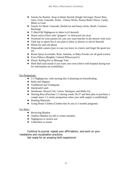- ♥ Snacks for Partner: Soup at Hand, Ravioli (Single Servings), Power Bars, Juice, Fruit, Gatorade, Water, Cheese Sticks, Peanut Butter Slices, Candy, Mints or Gum
- ♥ Snacks for Mom: Gatorade, Herbal tea and honey sticks, Broth, Crackers, Recharge.
- ♥ T-Shirt/Old Nightgown to labor in (if desired)
- ♥ Warm socks (Ones with "grippers" or skid proof are nice)
- ♥ Swimsuit for your partner (in case you want him/her in the shower with you)
- ♥ Tank top or sports bra if you plan to labor in shower or tub (if desired)
- ♥ Phone list and cell phone
- ♥ Disposable camera (just in case you leave in a hurry and forget the good one  $\circledcirc$
- ♥ Room Spray (Lavender, Rose, Jasmine, or Baby Powder are all good scents)
- ♥ Extra Pillows (Brightly Colored Pillowcases!!)
- ♥ Plastic Rolling Pin or Massage Tool
- ♥ Birth Ball (and stand) if you want your own (check with hospital during tour for information on availability)

#### For Postpartum:

- ♥ 2-3 Nightgowns, with nursing slits if planning on breastfeeding
- ♥ Robe and Slippers
- ♥ Toothbrush and Toothpaste
- ♥ Hairbrush/Comb
- ♥ Deodorant, Shower Gel, Lotion, Shampoo, and Make-Up
- ♥ Nursing Bras (Purchase 1-2 during weeks 36-37 and then plan to purchase a couple more 1-2 weeks postpartum when your milk supply is established)
- ♥ Reading Materials
- ♥ Going Home Clothes (Clothes that fit you at 5 months pregnant)

#### For Baby:

- ♥ Receiving Blanket
- ♥ Outdoor Blanket (in fall or winter months)
- ♥ Nightgown or stretch suit
- ♥ Undershirt or onesie

Continue to journal, repeat your affirmations, and work on your mediations and visualization practices.

Get ready for an amazing birth experience!